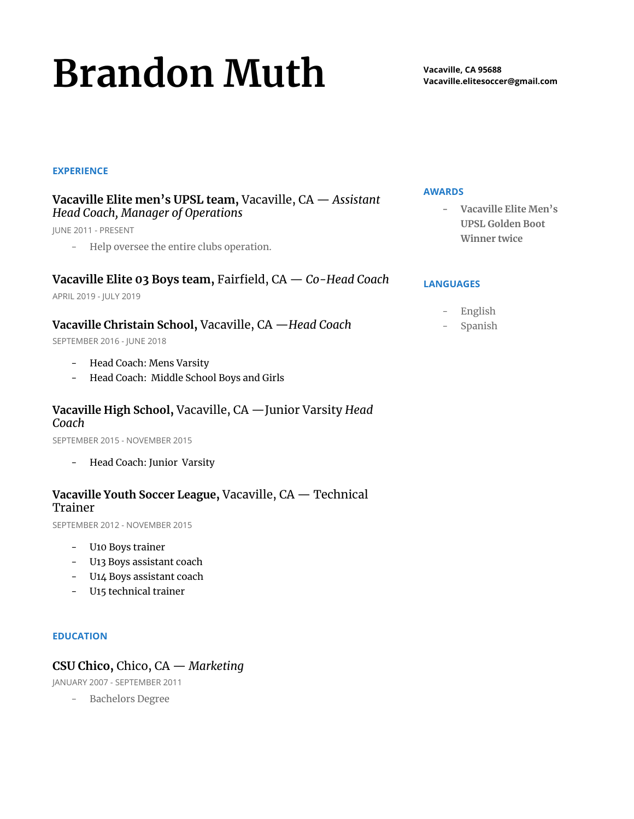# **Brandon Muth**

#### **EXPERIENCE**

## **Vacaville Elite men's UPSL team,** Vacaville, CA — *Assistant Head Coach, Manager of Operations*

JUNE 2011 - PRESENT

- Help oversee the entire clubs operation.

# **Vacaville Elite 03 Boys team,** Fairfield, CA — *Co-Head Coach*

APRIL 2019 - JULY 2019

### **Vacaville Christain School,** Vacaville, CA —*Head Coach*

SEPTEMBER 2016 - JUNE 2018

- Head Coach: Mens Varsity
- Head Coach: Middle School Boys and Girls

# **Vacaville High School,** Vacaville, CA —Junior Varsity *Head Coach*

SEPTEMBER 2015 - NOVEMBER 2015

- Head Coach: Junior Varsity

# **Vacaville Youth Soccer League,** Vacaville, CA — Technical Trainer

SEPTEMBER 2012 - NOVEMBER 2015

- U10 Boys trainer
- U13 Boys assistant coach
- U14 Boys assistant coach
- U15 technical trainer

#### **EDUCATION**

# **CSU Chico,** Chico, CA — *Marketing*

JANUARY 2007 - SEPTEMBER 2011

- Bachelors Degree

#### **AWARDS**

**- Vacaville Elite Men's UPSL Golden Boot Winner twice**

#### **LANGUAGES**

- English
- **Spanish**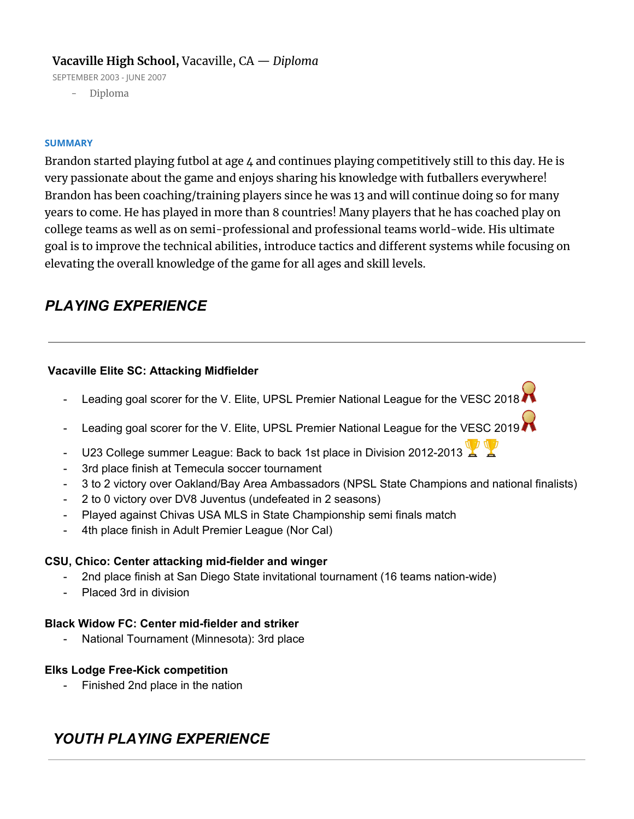# **Vacaville High School,** Vacaville, CA — *Diploma*

SEPTEMBER 2003 - JUNE 2007

- Diploma

#### **SUMMARY**

Brandon started playing futbol at age 4 and continues playing competitively still to this day. He is very passionate about the game and enjoys sharing his knowledge with futballers everywhere! Brandon has been coaching/training players since he was 13 and will continue doing so for many years to come. He has played in more than 8 countries! Many players that he has coached play on college teams as well as on semi-professional and professional teams world-wide. His ultimate goal is to improve the technical abilities, introduce tactics and different systems while focusing on elevating the overall knowledge of the game for all ages and skill levels.

# *PLAYING EXPERIENCE*

#### **Vacaville Elite SC: Attacking Midfielder**

- Leading goal scorer for the V. Elite, UPSL Premier National League for the VESC 2018
- Leading goal scorer for the V. Elite, UPSL Premier National League for the VESC 2019
- U23 College summer League: Back to back 1st place in Division 2012-2013
- 3rd place finish at Temecula soccer tournament
- 3 to 2 victory over Oakland/Bay Area Ambassadors (NPSL State Champions and national finalists)
- 2 to 0 victory over DV8 Juventus (undefeated in 2 seasons)
- Played against Chivas USA MLS in State Championship semi finals match
- 4th place finish in Adult Premier League (Nor Cal)

#### **CSU, Chico: Center attacking mid-fielder and winger**

- 2nd place finish at San Diego State invitational tournament (16 teams nation-wide)
- Placed 3rd in division

#### **Black Widow FC: Center mid-fielder and striker**

- National Tournament (Minnesota): 3rd place

#### **Elks Lodge Free-Kick competition**

- Finished 2nd place in the nation

# *YOUTH PLAYING EXPERIENCE*